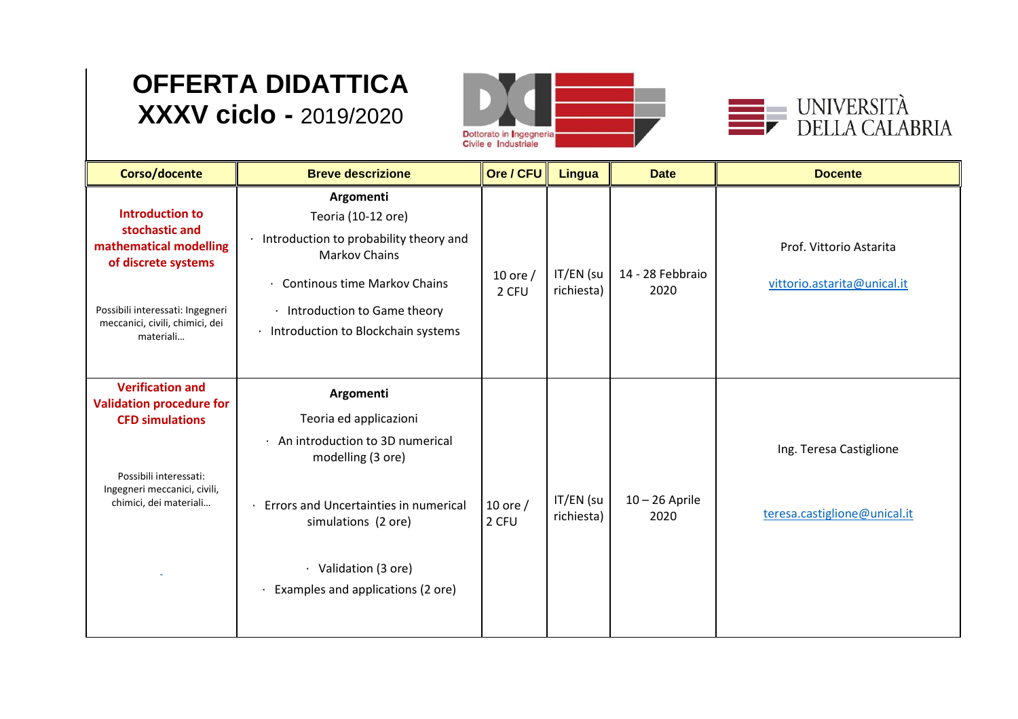## **OFFERTA DIDATTICA XXXV ciclo -** 2019/2020





| Corso/docente                                                                                                                                                                 | <b>Breve descrizione</b>                                                                                                                                                                                                              | Ore / CFU           | <b>Lingua</b>           | <b>Date</b>              | <b>Docente</b>                                          |
|-------------------------------------------------------------------------------------------------------------------------------------------------------------------------------|---------------------------------------------------------------------------------------------------------------------------------------------------------------------------------------------------------------------------------------|---------------------|-------------------------|--------------------------|---------------------------------------------------------|
| <b>Introduction to</b><br>stochastic and<br>mathematical modelling<br>of discrete systems<br>Possibili interessati: Ingegneri<br>meccanici, civili, chimici, dei<br>materiali | Argomenti<br>Teoria (10-12 ore)<br>· Introduction to probability theory and<br><b>Markov Chains</b><br><b>Continous time Markov Chains</b><br>Introduction to Game theory<br>$\bullet$<br>· Introduction to Blockchain systems        | 10 ore $/$<br>2 CFU | IT/EN (su<br>richiesta) | 14 - 28 Febbraio<br>2020 | Prof. Vittorio Astarita<br>vittorio.astarita@unical.it  |
| <b>Verification and</b><br><b>Validation procedure for</b><br><b>CFD simulations</b><br>Possibili interessati:<br>Ingegneri meccanici, civili,<br>chimici, dei materiali      | Argomenti<br>Teoria ed applicazioni<br>An introduction to 3D numerical<br>$\bullet$<br>modelling (3 ore)<br>Errors and Uncertainties in numerical<br>simulations (2 ore)<br>· Validation (3 ore)<br>Examples and applications (2 ore) | 10 ore $/$<br>2 CFU | IT/EN (su<br>richiesta) | $10 - 26$ Aprile<br>2020 | Ing. Teresa Castiglione<br>teresa.castiglione@unical.it |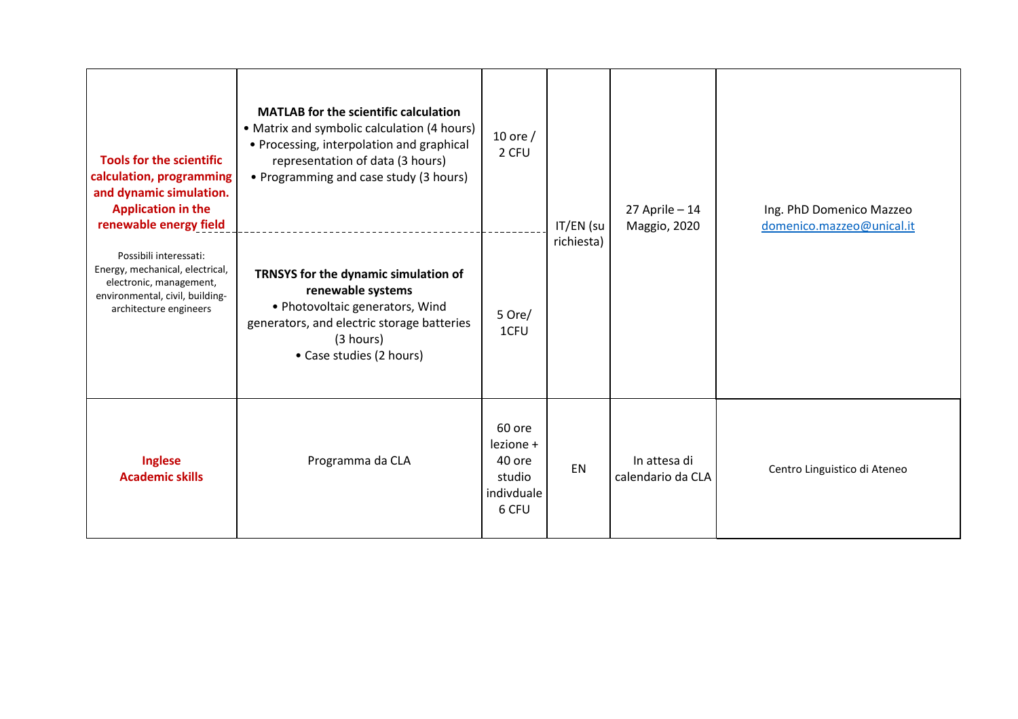| <b>Tools for the scientific</b><br>calculation, programming<br>and dynamic simulation.<br><b>Application in the</b><br>renewable energy field     | <b>MATLAB for the scientific calculation</b><br>• Matrix and symbolic calculation (4 hours)<br>• Processing, interpolation and graphical<br>representation of data (3 hours)<br>• Programming and case study (3 hours) | 10 ore $/$<br>2 CFU                                            | IT/EN (su  | $27$ Aprile - 14<br>Maggio, 2020  | Ing. PhD Domenico Mazzeo<br>domenico.mazzeo@unical.it |
|---------------------------------------------------------------------------------------------------------------------------------------------------|------------------------------------------------------------------------------------------------------------------------------------------------------------------------------------------------------------------------|----------------------------------------------------------------|------------|-----------------------------------|-------------------------------------------------------|
| Possibili interessati:<br>Energy, mechanical, electrical,<br>electronic, management,<br>environmental, civil, building-<br>architecture engineers | TRNSYS for the dynamic simulation of<br>renewable systems<br>• Photovoltaic generators, Wind<br>generators, and electric storage batteries<br>(3 hours)<br>• Case studies (2 hours)                                    | 5 Ore/<br>1CFU                                                 | richiesta) |                                   |                                                       |
| Inglese<br><b>Academic skills</b>                                                                                                                 | Programma da CLA                                                                                                                                                                                                       | 60 ore<br>lezione +<br>40 ore<br>studio<br>indivduale<br>6 CFU | EN         | In attesa di<br>calendario da CLA | Centro Linguistico di Ateneo                          |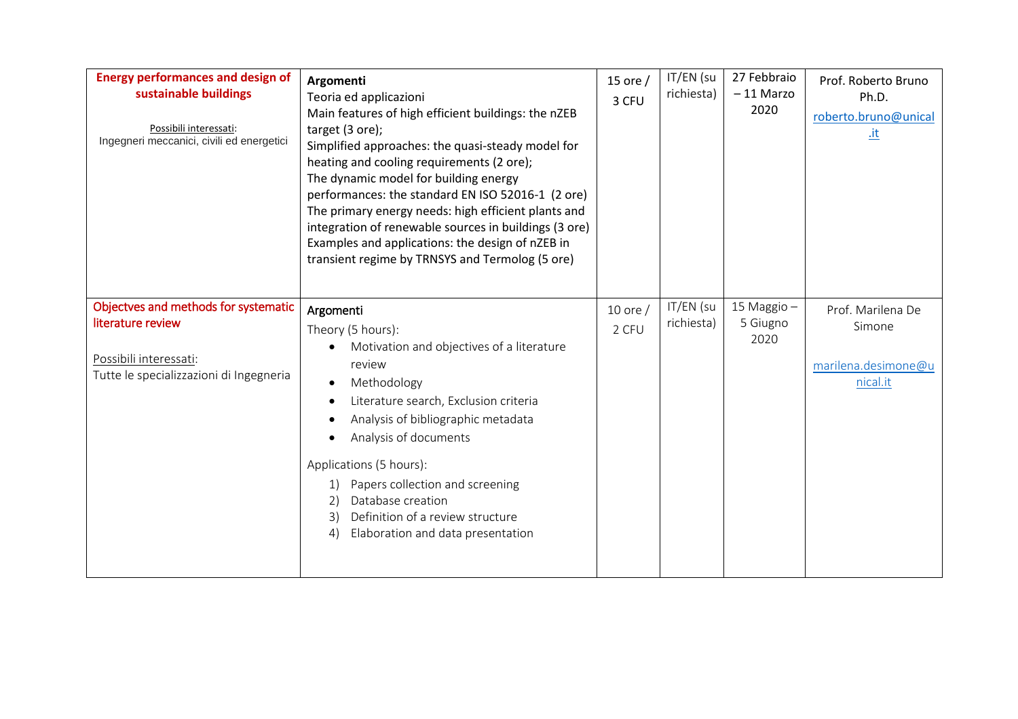| <b>Energy performances and design of</b><br>sustainable buildings<br>Possibili interessati:<br>Ingegneri meccanici, civili ed energetici | Argomenti<br>Teoria ed applicazioni<br>Main features of high efficient buildings: the nZEB<br>target (3 ore);<br>Simplified approaches: the quasi-steady model for<br>heating and cooling requirements (2 ore);<br>The dynamic model for building energy<br>performances: the standard EN ISO 52016-1 (2 ore)<br>The primary energy needs: high efficient plants and<br>integration of renewable sources in buildings (3 ore)<br>Examples and applications: the design of nZEB in<br>transient regime by TRNSYS and Termolog (5 ore) | 15 ore $/$<br>3 CFU   | IT/EN (su<br>richiesta) | 27 Febbraio<br>$-11$ Marzo<br>2020 | Prof. Roberto Bruno<br>Ph.D.<br>roberto.bruno@unical<br><u>.it</u> |
|------------------------------------------------------------------------------------------------------------------------------------------|--------------------------------------------------------------------------------------------------------------------------------------------------------------------------------------------------------------------------------------------------------------------------------------------------------------------------------------------------------------------------------------------------------------------------------------------------------------------------------------------------------------------------------------|-----------------------|-------------------------|------------------------------------|--------------------------------------------------------------------|
| Objectves and methods for systematic<br>literature review<br>Possibili interessati:<br>Tutte le specializzazioni di Ingegneria           | Argomenti<br>Theory (5 hours):<br>Motivation and objectives of a literature<br>review<br>Methodology<br>$\bullet$<br>Literature search, Exclusion criteria<br>Analysis of bibliographic metadata<br>$\bullet$<br>Analysis of documents<br>Applications (5 hours):<br>Papers collection and screening<br>1)<br>Database creation<br>2)<br>Definition of a review structure<br>3)<br>Elaboration and data presentation<br>4)                                                                                                           | $10$ ore $/$<br>2 CFU | IT/EN (su<br>richiesta) | 15 Maggio -<br>5 Giugno<br>2020    | Prof. Marilena De<br>Simone<br>marilena.desimone@u<br>nical.it     |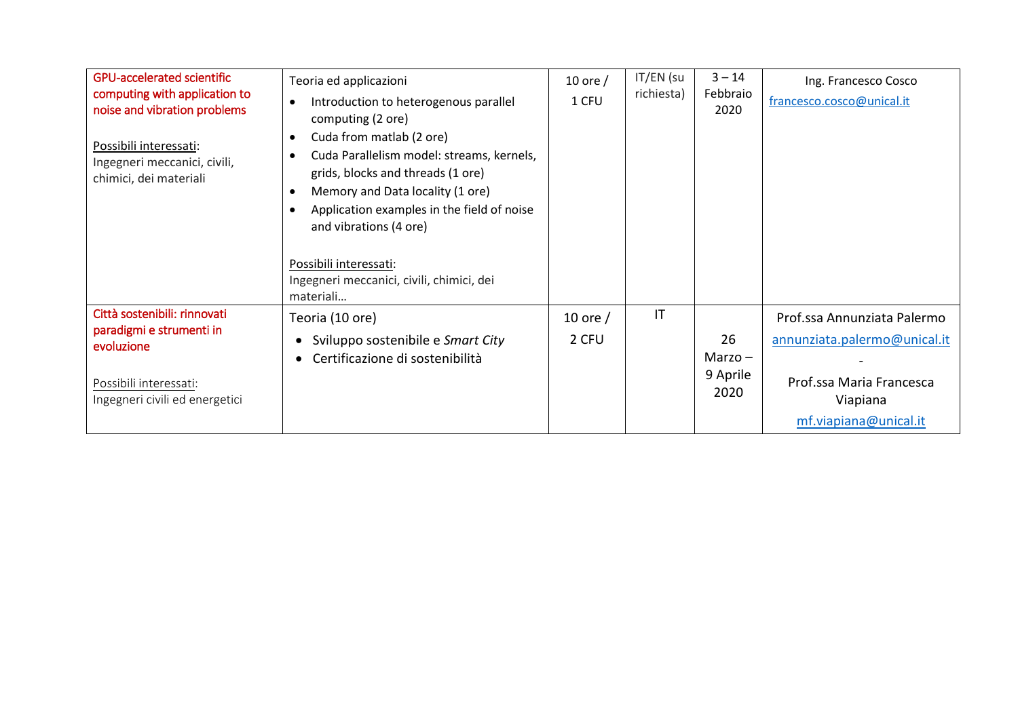| <b>GPU-accelerated scientific</b><br>computing with application to<br>noise and vibration problems<br>Possibili interessati:<br>Ingegneri meccanici, civili,<br>chimici, dei materiali | Teoria ed applicazioni<br>Introduction to heterogenous parallel<br>computing (2 ore)<br>Cuda from matlab (2 ore)<br>$\bullet$<br>Cuda Parallelism model: streams, kernels,<br>$\bullet$<br>grids, blocks and threads (1 ore)<br>Memory and Data locality (1 ore)<br>Application examples in the field of noise<br>and vibrations (4 ore)<br>Possibili interessati: | 10 ore $/$<br>1 CFU | IT/EN (su<br>richiesta) | $3 - 14$<br>Febbraio<br>2020        | Ing. Francesco Cosco<br>francesco.cosco@unical.it                                             |
|----------------------------------------------------------------------------------------------------------------------------------------------------------------------------------------|--------------------------------------------------------------------------------------------------------------------------------------------------------------------------------------------------------------------------------------------------------------------------------------------------------------------------------------------------------------------|---------------------|-------------------------|-------------------------------------|-----------------------------------------------------------------------------------------------|
|                                                                                                                                                                                        | Ingegneri meccanici, civili, chimici, dei<br>materiali                                                                                                                                                                                                                                                                                                             |                     |                         |                                     |                                                                                               |
| Città sostenibili: rinnovati                                                                                                                                                           | Teoria (10 ore)                                                                                                                                                                                                                                                                                                                                                    | 10 ore $/$          | IT                      |                                     | Prof.ssa Annunziata Palermo                                                                   |
| paradigmi e strumenti in<br>evoluzione<br>Possibili interessati:<br>Ingegneri civili ed energetici                                                                                     | Sviluppo sostenibile e Smart City<br>Certificazione di sostenibilità                                                                                                                                                                                                                                                                                               | 2 CFU               |                         | 26<br>Marzo $-$<br>9 Aprile<br>2020 | annunziata.palermo@unical.it<br>Prof.ssa Maria Francesca<br>Viapiana<br>mf.viapiana@unical.it |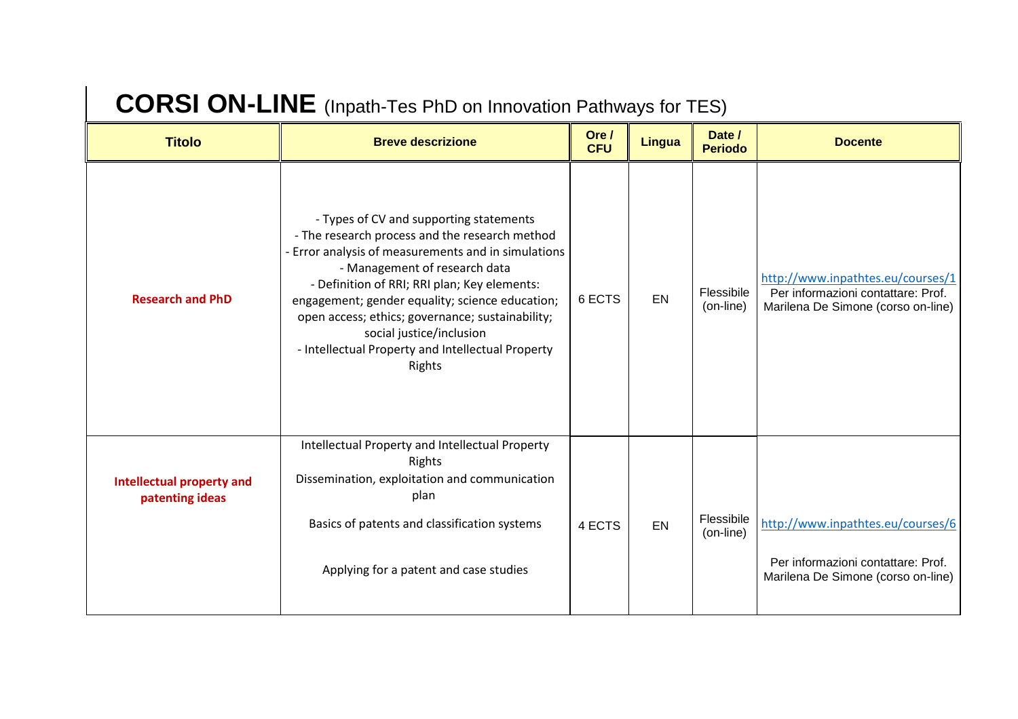## **CORSI ON-LINE** (Inpath-Tes PhD on Innovation Pathways for TES)

| <b>Titolo</b>                                       | <b>Breve descrizione</b>                                                                                                                                                                                                                                                                                                                                                                                                            | Ore /<br><b>CFU</b> | <b>Lingua</b> | Date /<br><b>Periodo</b> | <b>Docente</b>                                                                                                |
|-----------------------------------------------------|-------------------------------------------------------------------------------------------------------------------------------------------------------------------------------------------------------------------------------------------------------------------------------------------------------------------------------------------------------------------------------------------------------------------------------------|---------------------|---------------|--------------------------|---------------------------------------------------------------------------------------------------------------|
| <b>Research and PhD</b>                             | - Types of CV and supporting statements<br>- The research process and the research method<br>- Error analysis of measurements and in simulations<br>- Management of research data<br>- Definition of RRI; RRI plan; Key elements:<br>engagement; gender equality; science education;<br>open access; ethics; governance; sustainability;<br>social justice/inclusion<br>- Intellectual Property and Intellectual Property<br>Rights | 6 ECTS              | EN            | Flessibile<br>(on-line)  | http://www.inpathtes.eu/courses/1<br>Per informazioni contattare: Prof.<br>Marilena De Simone (corso on-line) |
| <b>Intellectual property and</b><br>patenting ideas | Intellectual Property and Intellectual Property<br>Rights<br>Dissemination, exploitation and communication<br>plan<br>Basics of patents and classification systems<br>Applying for a patent and case studies                                                                                                                                                                                                                        | 4 ECTS              | <b>EN</b>     | Flessibile<br>(on-line)  | http://www.inpathtes.eu/courses/6<br>Per informazioni contattare: Prof.<br>Marilena De Simone (corso on-line) |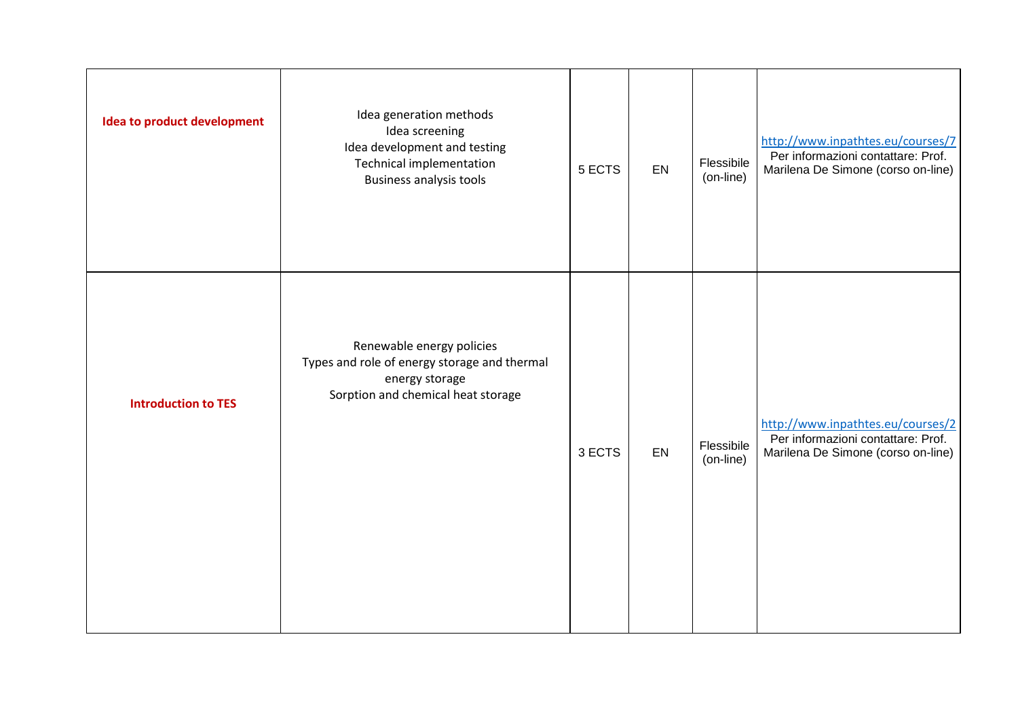| <b>Idea to product development</b> | Idea generation methods<br>Idea screening<br>Idea development and testing<br>Technical implementation<br><b>Business analysis tools</b> | 5 ECTS | EN | Flessibile<br>(on-line) | http://www.inpathtes.eu/courses/7<br>Per informazioni contattare: Prof.<br>Marilena De Simone (corso on-line) |
|------------------------------------|-----------------------------------------------------------------------------------------------------------------------------------------|--------|----|-------------------------|---------------------------------------------------------------------------------------------------------------|
| <b>Introduction to TES</b>         | Renewable energy policies<br>Types and role of energy storage and thermal<br>energy storage<br>Sorption and chemical heat storage       | 3 ECTS | EN | Flessibile<br>(on-line) | http://www.inpathtes.eu/courses/2<br>Per informazioni contattare: Prof.<br>Marilena De Simone (corso on-line) |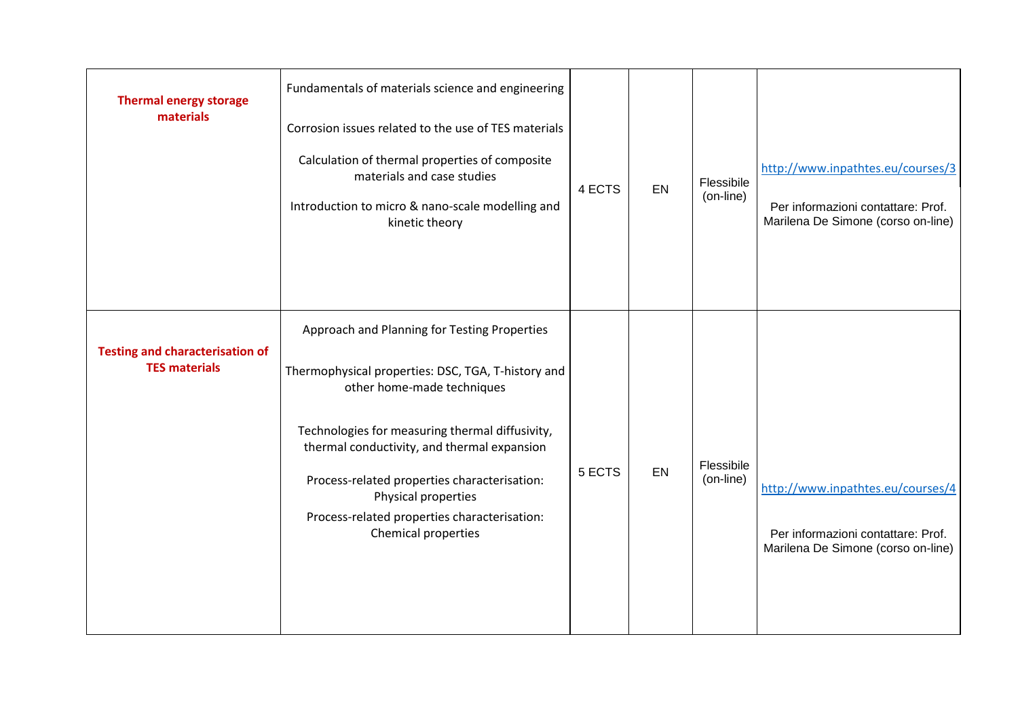| <b>Thermal energy storage</b><br>materials                     | Fundamentals of materials science and engineering<br>Corrosion issues related to the use of TES materials<br>Calculation of thermal properties of composite<br>materials and case studies<br>Introduction to micro & nano-scale modelling and<br>kinetic theory                                                                                                                  | 4 ECTS | EN | Flessibile<br>(on-line) | http://www.inpathtes.eu/courses/3<br>Per informazioni contattare: Prof.<br>Marilena De Simone (corso on-line) |
|----------------------------------------------------------------|----------------------------------------------------------------------------------------------------------------------------------------------------------------------------------------------------------------------------------------------------------------------------------------------------------------------------------------------------------------------------------|--------|----|-------------------------|---------------------------------------------------------------------------------------------------------------|
| <b>Testing and characterisation of</b><br><b>TES materials</b> | Approach and Planning for Testing Properties<br>Thermophysical properties: DSC, TGA, T-history and<br>other home-made techniques<br>Technologies for measuring thermal diffusivity,<br>thermal conductivity, and thermal expansion<br>Process-related properties characterisation:<br>Physical properties<br>Process-related properties characterisation:<br>Chemical properties | 5 ECTS | EN | Flessibile<br>(on-line) | http://www.inpathtes.eu/courses/4<br>Per informazioni contattare: Prof.<br>Marilena De Simone (corso on-line) |